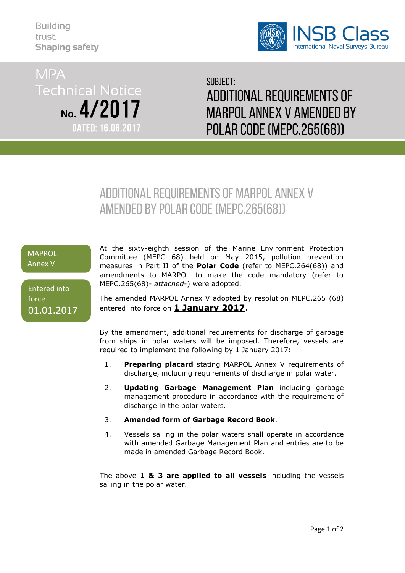**Building** trust. **Shaping safety** 



**MPA Technical Notice** No. 4/2017 **DATED: 16.06.2017** 

Subject: Additional requirements of MARPOL ANNEX V amended by Polar code (MEPC.265(68))

# Additional requirements of MARPOL ANNEX V amended by Polar code (MEPC.265(68))

# **MAPROL** Annex V

Entered into force 01.01.2017 At the sixty-eighth session of the Marine Environment Protection Committee (MEPC 68) held on May 2015, pollution prevention measures in Part II of the **Polar Code** (refer to MEPC.264(68)) and amendments to MARPOL to make the code mandatory (refer to MEPC.265(68)- *attached*-) were adopted.

The amended MARPOL Annex V adopted by resolution MEPC.265 (68) entered into force on **1 January 2017**.

By the amendment, additional requirements for discharge of garbage from ships in polar waters will be imposed. Therefore, vessels are required to implement the following by 1 January 2017:

- 1. **Preparing placard** stating MARPOL Annex V requirements of discharge, including requirements of discharge in polar water.
- 2. **Updating Garbage Management Plan** including garbage management procedure in accordance with the requirement of discharge in the polar waters.
- 3. **Amended form of Garbage Record Book**.
- 4. Vessels sailing in the polar waters shall operate in accordance with amended Garbage Management Plan and entries are to be made in amended Garbage Record Book.

The above **1 & 3 are applied to all vessels** including the vessels sailing in the polar water.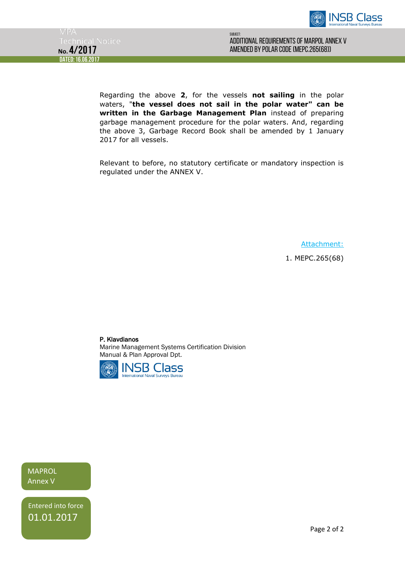



Regarding the above **2**, for the vessels **not sailing** in the polar waters, "**the vessel does not sail in the polar water" can be written in the Garbage Management Plan** instead of preparing garbage management procedure for the polar waters. And, regarding the above 3, Garbage Record Book shall be amended by 1 January 2017 for all vessels.

Relevant to before, no statutory certificate or mandatory inspection is regulated under the ANNEX V.

Attachment:

1. MEPC.265(68)

P. Klavdianos

Marine Management Systems Certification Division Manual & Plan Approval Dpt.



**MAPROL** Annex V

Entered into force 01.01.2017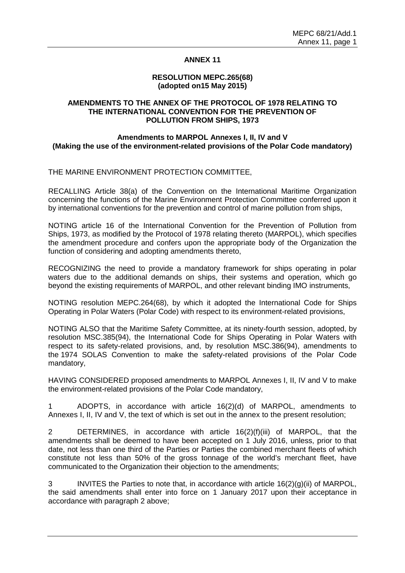### **ANNEX 11**

### **RESOLUTION MEPC.265(68) (adopted on15 May 2015)**

### **AMENDMENTS TO THE ANNEX OF THE PROTOCOL OF 1978 RELATING TO THE INTERNATIONAL CONVENTION FOR THE PREVENTION OF POLLUTION FROM SHIPS, 1973**

### **Amendments to MARPOL Annexes I, II, IV and V (Making the use of the environment-related provisions of the Polar Code mandatory)**

THE MARINE ENVIRONMENT PROTECTION COMMITTEE,

RECALLING Article 38(a) of the Convention on the International Maritime Organization concerning the functions of the Marine Environment Protection Committee conferred upon it by international conventions for the prevention and control of marine pollution from ships,

NOTING article 16 of the International Convention for the Prevention of Pollution from Ships, 1973, as modified by the Protocol of 1978 relating thereto (MARPOL), which specifies the amendment procedure and confers upon the appropriate body of the Organization the function of considering and adopting amendments thereto,

RECOGNIZING the need to provide a mandatory framework for ships operating in polar waters due to the additional demands on ships, their systems and operation, which go beyond the existing requirements of MARPOL, and other relevant binding IMO instruments,

NOTING resolution MEPC.264(68), by which it adopted the International Code for Ships Operating in Polar Waters (Polar Code) with respect to its environment-related provisions,

NOTING ALSO that the Maritime Safety Committee, at its ninety-fourth session, adopted, by resolution MSC.385(94), the International Code for Ships Operating in Polar Waters with respect to its safety-related provisions, and, by resolution MSC.386(94), amendments to the 1974 SOLAS Convention to make the safety-related provisions of the Polar Code mandatory,

HAVING CONSIDERED proposed amendments to MARPOL Annexes I, II, IV and V to make the environment-related provisions of the Polar Code mandatory,

1 ADOPTS, in accordance with article 16(2)(d) of MARPOL, amendments to Annexes I, II, IV and V, the text of which is set out in the annex to the present resolution;

2 DETERMINES, in accordance with article 16(2)(f)(iii) of MARPOL, that the amendments shall be deemed to have been accepted on 1 July 2016, unless, prior to that date, not less than one third of the Parties or Parties the combined merchant fleets of which constitute not less than 50% of the gross tonnage of the world's merchant fleet, have communicated to the Organization their objection to the amendments;

3 INVITES the Parties to note that, in accordance with article 16(2)(g)(ii) of MARPOL, the said amendments shall enter into force on 1 January 2017 upon their acceptance in accordance with paragraph 2 above;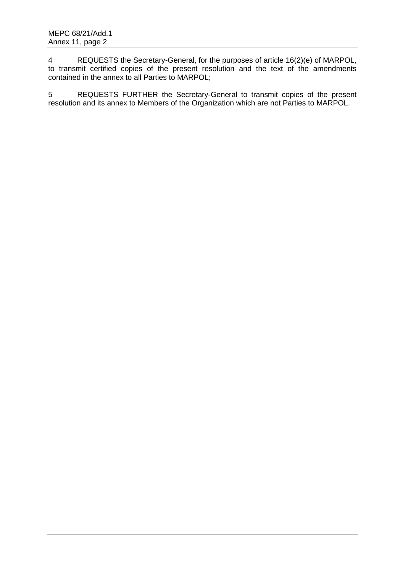4 REQUESTS the Secretary-General, for the purposes of article 16(2)(e) of MARPOL, to transmit certified copies of the present resolution and the text of the amendments contained in the annex to all Parties to MARPOL;

5 REQUESTS FURTHER the Secretary-General to transmit copies of the present resolution and its annex to Members of the Organization which are not Parties to MARPOL.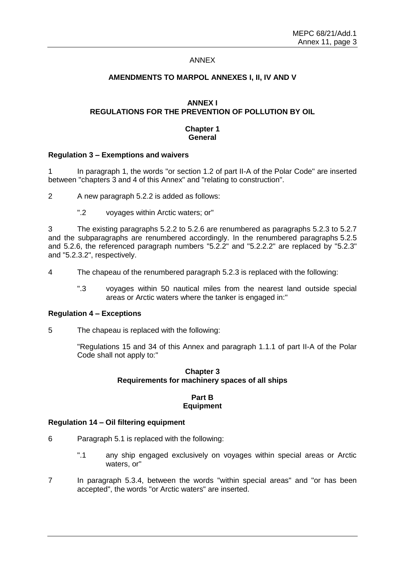### ANNEX

### **AMENDMENTS TO MARPOL ANNEXES I, II, IV AND V**

# **ANNEX I REGULATIONS FOR THE PREVENTION OF POLLUTION BY OIL**

### **Chapter 1 General**

### **Regulation 3 – Exemptions and waivers**

1 In paragraph 1, the words "or section 1.2 of part II-A of the Polar Code" are inserted between "chapters 3 and 4 of this Annex" and "relating to construction".

2 A new paragraph 5.2.2 is added as follows:

".2 voyages within Arctic waters; or"

3 The existing paragraphs 5.2.2 to 5.2.6 are renumbered as paragraphs 5.2.3 to 5.2.7 and the subparagraphs are renumbered accordingly. In the renumbered paragraphs 5.2.5 and 5.2.6, the referenced paragraph numbers "5.2.2" and "5.2.2.2" are replaced by "5.2.3" and "5.2.3.2", respectively.

- 4 The chapeau of the renumbered paragraph 5.2.3 is replaced with the following:
	- ".3 voyages within 50 nautical miles from the nearest land outside special areas or Arctic waters where the tanker is engaged in:"

### **Regulation 4 – Exceptions**

5 The chapeau is replaced with the following:

"Regulations 15 and 34 of this Annex and paragraph 1.1.1 of part II-A of the Polar Code shall not apply to:"

### **Chapter 3 Requirements for machinery spaces of all ships**

### **Part B Equipment**

### **Regulation 14 – Oil filtering equipment**

- 6 Paragraph 5.1 is replaced with the following:
	- ".1 any ship engaged exclusively on voyages within special areas or Arctic waters, or"
- 7 In paragraph 5.3.4, between the words "within special areas" and "or has been accepted", the words "or Arctic waters" are inserted.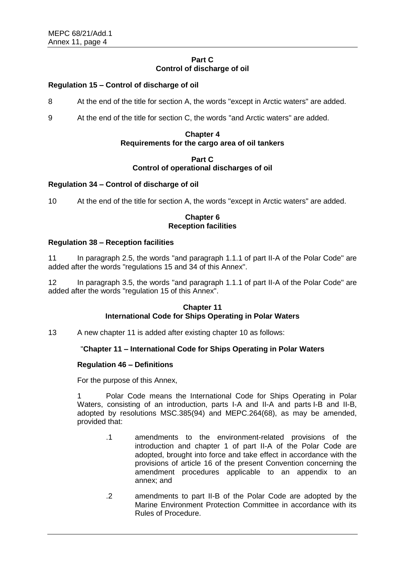# **Part C Control of discharge of oil**

# **Regulation 15 – Control of discharge of oil**

8 At the end of the title for section A, the words "except in Arctic waters" are added.

9 At the end of the title for section C, the words "and Arctic waters" are added.

### **Chapter 4 Requirements for the cargo area of oil tankers**

### **Part C Control of operational discharges of oil**

### **Regulation 34 – Control of discharge of oil**

10 At the end of the title for section A, the words "except in Arctic waters" are added.

### **Chapter 6 Reception facilities**

### **Regulation 38 – Reception facilities**

11 In paragraph 2.5, the words "and paragraph 1.1.1 of part II-A of the Polar Code" are added after the words "regulations 15 and 34 of this Annex".

12 In paragraph 3.5, the words "and paragraph 1.1.1 of part II-A of the Polar Code" are added after the words "regulation 15 of this Annex".

### **Chapter 11 International Code for Ships Operating in Polar Waters**

13 A new chapter 11 is added after existing chapter 10 as follows:

### "**Chapter 11 – International Code for Ships Operating in Polar Waters**

### **Regulation 46 – Definitions**

For the purpose of this Annex,

Polar Code means the International Code for Ships Operating in Polar Waters, consisting of an introduction, parts I-A and II-A and parts I-B and II-B, adopted by resolutions MSC.385(94) and MEPC.264(68), as may be amended, provided that:

- .1 amendments to the environment-related provisions of the introduction and chapter 1 of part II-A of the Polar Code are adopted, brought into force and take effect in accordance with the provisions of article 16 of the present Convention concerning the amendment procedures applicable to an appendix to an annex; and
- .2 amendments to part II-B of the Polar Code are adopted by the Marine Environment Protection Committee in accordance with its Rules of Procedure.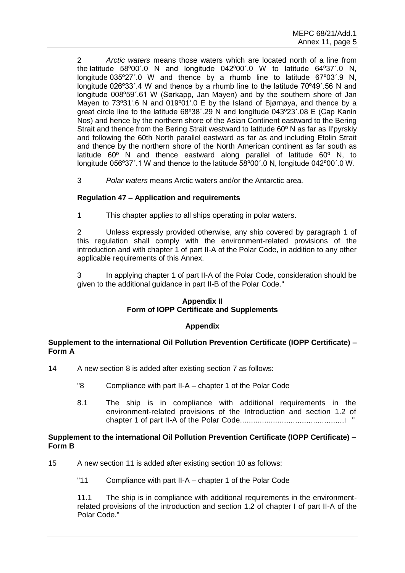2 *Arctic waters* means those waters which are located north of a line from the latitude 58º00΄.0 N and longitude 042º00΄.0 W to latitude 64º37΄.0 N, longitude 035º27΄.0 W and thence by a rhumb line to latitude 67º03΄.9 N, longitude 026º33΄.4 W and thence by a rhumb line to the latitude 70º49΄.56 N and longitude 008º59΄.61 W (Sørkapp, Jan Mayen) and by the southern shore of Jan Mayen to 73º31'.6 N and 019º01'.0 E by the Island of Bjørnøya, and thence by a great circle line to the latitude 68º38΄.29 N and longitude 043º23΄.08 E (Cap Kanin Nos) and hence by the northern shore of the Asian Continent eastward to the Bering Strait and thence from the Bering Strait westward to latitude 60º N as far as Il'pyrskiy and following the 60th North parallel eastward as far as and including Etolin Strait and thence by the northern shore of the North American continent as far south as latitude 60º N and thence eastward along parallel of latitude 60º N, to longitude 056º37΄.1 W and thence to the latitude 58º00΄.0 N, longitude 042º00΄.0 W.

3 *Polar waters* means Arctic waters and/or the Antarctic area.

# **Regulation 47 – Application and requirements**

1 This chapter applies to all ships operating in polar waters.

2 Unless expressly provided otherwise, any ship covered by paragraph 1 of this regulation shall comply with the environment-related provisions of the introduction and with chapter 1 of part II-A of the Polar Code, in addition to any other applicable requirements of this Annex.

3 In applying chapter 1 of part II-A of the Polar Code, consideration should be given to the additional guidance in part II-B of the Polar Code."

### **Appendix II Form of IOPP Certificate and Supplements**

# **Appendix**

### **Supplement to the international Oil Pollution Prevention Certificate (IOPP Certificate) – Form A**

- 14 A new section 8 is added after existing section 7 as follows:
	- "8 Compliance with part II-A chapter 1 of the Polar Code
	- 8.1 The ship is in compliance with additional requirements in the environment-related provisions of the Introduction and section 1.2 of chapter 1 of part II-A of the Polar Code.................... "

### **Supplement to the international Oil Pollution Prevention Certificate (IOPP Certificate) – Form B**

- 15 A new section 11 is added after existing section 10 as follows:
	- "11 Compliance with part II-A chapter 1 of the Polar Code

 11.1 The ship is in compliance with additional requirements in the environmentrelated provisions of the introduction and section 1.2 of chapter I of part II-A of the Polar Code."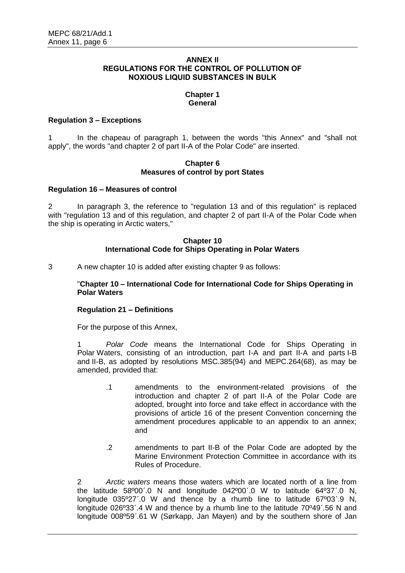### **ANNEX II REGULATIONS FOR THE CONTROL OF POLLUTION OF NOXIOUS LIQUID SUBSTANCES IN BULK**

#### **Chapter 1 General**

### **Regulation 3 – Exceptions**

1 In the chapeau of paragraph 1, between the words "this Annex" and "shall not apply", the words "and chapter 2 of part II-A of the Polar Code" are inserted.

### **Chapter 6 Measures of control by port States**

### **Regulation 16 – Measures of control**

2 In paragraph 3, the reference to "regulation 13 and of this regulation" is replaced with "regulation 13 and of this regulation, and chapter 2 of part II-A of the Polar Code when the ship is operating in Arctic waters,"

### **Chapter 10 International Code for Ships Operating in Polar Waters**

3 A new chapter 10 is added after existing chapter 9 as follows:

 "**Chapter 10 – International Code for International Code for Ships Operating in Polar Waters**

# **Regulation 21 – Definitions**

For the purpose of this Annex,

1 *Polar Code* means the International Code for Ships Operating in Polar Waters, consisting of an introduction, part I-A and part II-A and parts I-B and II-B, as adopted by resolutions MSC.385(94) and MEPC.264(68), as may be amended, provided that:

- .1 amendments to the environment-related provisions of the introduction and chapter 2 of part II-A of the Polar Code are adopted, brought into force and take effect in accordance with the provisions of article 16 of the present Convention concerning the amendment procedures applicable to an appendix to an annex; and
- .2 amendments to part II-B of the Polar Code are adopted by the Marine Environment Protection Committee in accordance with its Rules of Procedure.

2 *Arctic waters* means those waters which are located north of a line from the latitude 58º00΄.0 N and longitude 042º00΄.0 W to latitude 64º37΄.0 N, longitude 035º27΄.0 W and thence by a rhumb line to latitude 67º03΄.9 N, longitude 026º33΄.4 W and thence by a rhumb line to the latitude 70º49΄.56 N and longitude 008º59΄.61 W (Sørkapp, Jan Mayen) and by the southern shore of Jan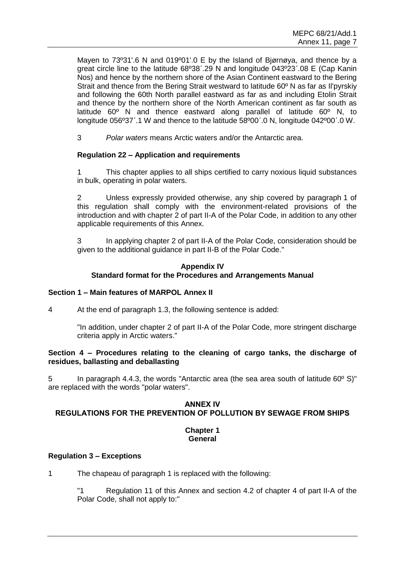Mayen to 73º31'.6 N and 019º01'.0 E by the Island of Bjørnøya, and thence by a great circle line to the latitude 68º38΄.29 N and longitude 043º23΄.08 E (Cap Kanin Nos) and hence by the northern shore of the Asian Continent eastward to the Bering Strait and thence from the Bering Strait westward to latitude 60º N as far as Il'pyrskiy and following the 60th North parallel eastward as far as and including Etolin Strait and thence by the northern shore of the North American continent as far south as latitude 60º N and thence eastward along parallel of latitude 60º N, to longitude 056º37΄.1 W and thence to the latitude 58º00΄.0 N, longitude 042º00΄.0 W.

3 *Polar waters* means Arctic waters and/or the Antarctic area.

# **Regulation 22 – Application and requirements**

1 This chapter applies to all ships certified to carry noxious liquid substances in bulk, operating in polar waters.

2 Unless expressly provided otherwise, any ship covered by paragraph 1 of this regulation shall comply with the environment-related provisions of the introduction and with chapter 2 of part II-A of the Polar Code, in addition to any other applicable requirements of this Annex.

3 In applying chapter 2 of part II-A of the Polar Code, consideration should be given to the additional guidance in part II-B of the Polar Code."

# **Appendix IV Standard format for the Procedures and Arrangements Manual**

# **Section 1 – Main features of MARPOL Annex II**

4 At the end of paragraph 1.3, the following sentence is added:

"In addition, under chapter 2 of part II-A of the Polar Code, more stringent discharge criteria apply in Arctic waters."

### **Section 4 – Procedures relating to the cleaning of cargo tanks, the discharge of residues, ballasting and deballasting**

5 In paragraph 4.4.3, the words "Antarctic area (the sea area south of latitude 60º S)" are replaced with the words "polar waters".

# **ANNEX IV REGULATIONS FOR THE PREVENTION OF POLLUTION BY SEWAGE FROM SHIPS**

### **Chapter 1 General**

# **Regulation 3 – Exceptions**

1 The chapeau of paragraph 1 is replaced with the following:

"1 Regulation 11 of this Annex and section 4.2 of chapter 4 of part II-A of the Polar Code, shall not apply to:"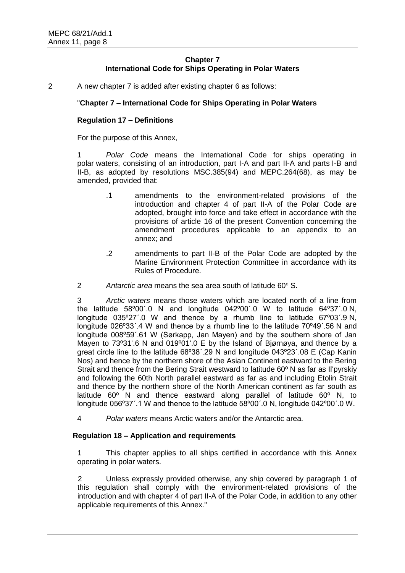# **Chapter 7 International Code for Ships Operating in Polar Waters**

2 A new chapter 7 is added after existing chapter 6 as follows:

# "**Chapter 7 – International Code for Ships Operating in Polar Waters**

### **Regulation 17 – Definitions**

For the purpose of this Annex,

1 *Polar Code* means the International Code for ships operating in polar waters, consisting of an introduction, part I-A and part II-A and parts I-B and II-B, as adopted by resolutions MSC.385(94) and MEPC.264(68), as may be amended, provided that:

- .1 amendments to the environment-related provisions of the introduction and chapter 4 of part II-A of the Polar Code are adopted, brought into force and take effect in accordance with the provisions of article 16 of the present Convention concerning the amendment procedures applicable to an appendix to an annex; and
- .2 amendments to part II-B of the Polar Code are adopted by the Marine Environment Protection Committee in accordance with its Rules of Procedure.
- 2 **Antarctic area means the sea area south of latitude 60° S.**

3 *Arctic waters* means those waters which are located north of a line from the latitude 58º00΄.0 N and longitude 042º00΄.0 W to latitude 64º37΄.0 N, longitude 035º27΄.0 W and thence by a rhumb line to latitude 67º03΄.9 N, longitude 026º33΄.4 W and thence by a rhumb line to the latitude 70º49΄.56 N and longitude 008º59΄.61 W (Sørkapp, Jan Mayen) and by the southern shore of Jan Mayen to 73º31'.6 N and 019º01'.0 E by the Island of Bjørnøya, and thence by a great circle line to the latitude 68º38΄.29 N and longitude 043º23΄.08 E (Cap Kanin Nos) and hence by the northern shore of the Asian Continent eastward to the Bering Strait and thence from the Bering Strait westward to latitude 60º N as far as Il'pyrskiy and following the 60th North parallel eastward as far as and including Etolin Strait and thence by the northern shore of the North American continent as far south as latitude 60º N and thence eastward along parallel of latitude 60º N, to longitude 056º37΄.1 W and thence to the latitude 58º00΄.0 N, longitude 042º00΄.0 W.

4 *Polar waters* means Arctic waters and/or the Antarctic area.

### **Regulation 18 – Application and requirements**

1 This chapter applies to all ships certified in accordance with this Annex operating in polar waters.

2 Unless expressly provided otherwise, any ship covered by paragraph 1 of this regulation shall comply with the environment-related provisions of the introduction and with chapter 4 of part II-A of the Polar Code, in addition to any other applicable requirements of this Annex."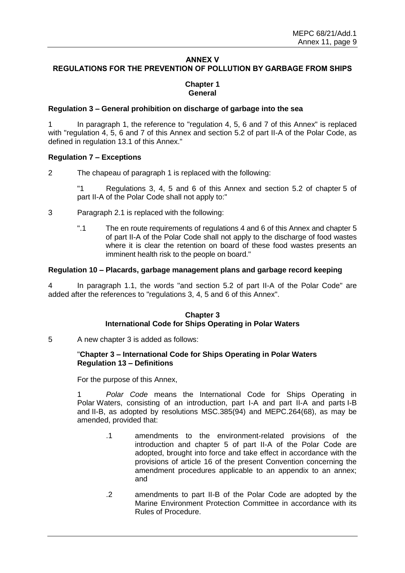# **ANNEX V REGULATIONS FOR THE PREVENTION OF POLLUTION BY GARBAGE FROM SHIPS**

# **Chapter 1 General**

### **Regulation 3 – General prohibition on discharge of garbage into the sea**

1 In paragraph 1, the reference to "regulation 4, 5, 6 and 7 of this Annex" is replaced with "regulation 4, 5, 6 and 7 of this Annex and section 5.2 of part II-A of the Polar Code, as defined in regulation 13.1 of this Annex."

# **Regulation 7 – Exceptions**

2 The chapeau of paragraph 1 is replaced with the following:

"1 Regulations 3, 4, 5 and 6 of this Annex and section 5.2 of chapter 5 of part II-A of the Polar Code shall not apply to:"

- 3 Paragraph 2.1 is replaced with the following:
	- ".1 The en route requirements of regulations 4 and 6 of this Annex and chapter 5 of part II-A of the Polar Code shall not apply to the discharge of food wastes where it is clear the retention on board of these food wastes presents an imminent health risk to the people on board."

### **Regulation 10 – Placards, garbage management plans and garbage record keeping**

4 In paragraph 1.1, the words "and section 5.2 of part II-A of the Polar Code" are added after the references to "regulations 3, 4, 5 and 6 of this Annex".

# **Chapter 3 International Code for Ships Operating in Polar Waters**

5 A new chapter 3 is added as follows:

### "**Chapter 3 – International Code for Ships Operating in Polar Waters Regulation 13 – Definitions**

For the purpose of this Annex,

1 *Polar Code* means the International Code for Ships Operating in Polar Waters, consisting of an introduction, part I-A and part II-A and parts I-B and II-B, as adopted by resolutions MSC.385(94) and MEPC.264(68), as may be amended, provided that:

- .1 amendments to the environment-related provisions of the introduction and chapter 5 of part II-A of the Polar Code are adopted, brought into force and take effect in accordance with the provisions of article 16 of the present Convention concerning the amendment procedures applicable to an appendix to an annex; and
- .2 amendments to part II-B of the Polar Code are adopted by the Marine Environment Protection Committee in accordance with its Rules of Procedure.